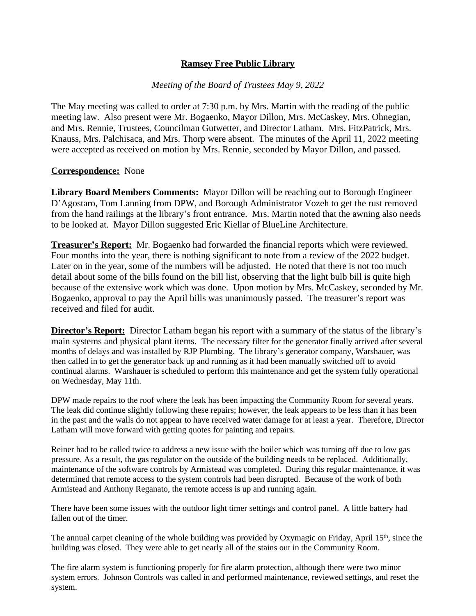### *Meeting of the Board of Trustees May 9, 2022*

The May meeting was called to order at 7:30 p.m. by Mrs. Martin with the reading of the public meeting law. Also present were Mr. Bogaenko, Mayor Dillon, Mrs. McCaskey, Mrs. Ohnegian, and Mrs. Rennie, Trustees, Councilman Gutwetter, and Director Latham. Mrs. FitzPatrick, Mrs. Knauss, Mrs. Palchisaca, and Mrs. Thorp were absent. The minutes of the April 11, 2022 meeting were accepted as received on motion by Mrs. Rennie, seconded by Mayor Dillon, and passed.

#### **Correspondence:** None

**Library Board Members Comments:** Mayor Dillon will be reaching out to Borough Engineer D'Agostaro, Tom Lanning from DPW, and Borough Administrator Vozeh to get the rust removed from the hand railings at the library's front entrance. Mrs. Martin noted that the awning also needs to be looked at. Mayor Dillon suggested Eric Kiellar of BlueLine Architecture.

**Treasurer's Report:** Mr. Bogaenko had forwarded the financial reports which were reviewed. Four months into the year, there is nothing significant to note from a review of the 2022 budget. Later on in the year, some of the numbers will be adjusted. He noted that there is not too much detail about some of the bills found on the bill list, observing that the light bulb bill is quite high because of the extensive work which was done. Upon motion by Mrs. McCaskey, seconded by Mr. Bogaenko, approval to pay the April bills was unanimously passed. The treasurer's report was received and filed for audit.

**Director's Report:** Director Latham began his report with a summary of the status of the library's main systems and physical plant items. The necessary filter for the generator finally arrived after several months of delays and was installed by RJP Plumbing. The library's generator company, Warshauer, was then called in to get the generator back up and running as it had been manually switched off to avoid continual alarms. Warshauer is scheduled to perform this maintenance and get the system fully operational on Wednesday, May 11th.

DPW made repairs to the roof where the leak has been impacting the Community Room for several years. The leak did continue slightly following these repairs; however, the leak appears to be less than it has been in the past and the walls do not appear to have received water damage for at least a year. Therefore, Director Latham will move forward with getting quotes for painting and repairs.

Reiner had to be called twice to address a new issue with the boiler which was turning off due to low gas pressure. As a result, the gas regulator on the outside of the building needs to be replaced. Additionally, maintenance of the software controls by Armistead was completed. During this regular maintenance, it was determined that remote access to the system controls had been disrupted. Because of the work of both Armistead and Anthony Reganato, the remote access is up and running again.

There have been some issues with the outdoor light timer settings and control panel. A little battery had fallen out of the timer.

The annual carpet cleaning of the whole building was provided by Oxymagic on Friday, April 15th, since the building was closed. They were able to get nearly all of the stains out in the Community Room.

The fire alarm system is functioning properly for fire alarm protection, although there were two minor system errors. Johnson Controls was called in and performed maintenance, reviewed settings, and reset the system.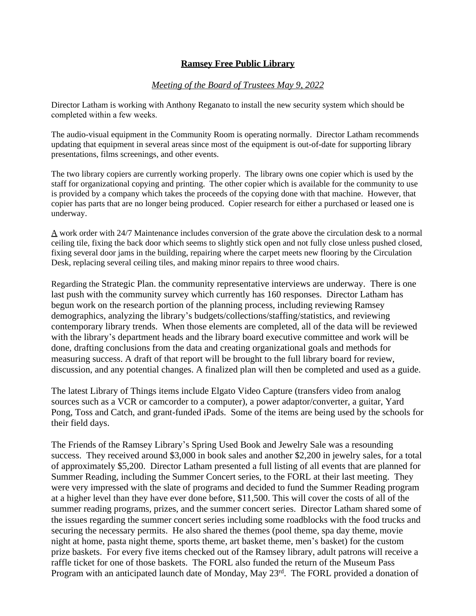### *Meeting of the Board of Trustees May 9, 2022*

Director Latham is working with Anthony Reganato to install the new security system which should be completed within a few weeks.

The audio-visual equipment in the Community Room is operating normally. Director Latham recommends updating that equipment in several areas since most of the equipment is out-of-date for supporting library presentations, films screenings, and other events.

The two library copiers are currently working properly. The library owns one copier which is used by the staff for organizational copying and printing. The other copier which is available for the community to use is provided by a company which takes the proceeds of the copying done with that machine. However, that copier has parts that are no longer being produced. Copier research for either a purchased or leased one is underway.

A work order with 24/7 Maintenance includes conversion of the grate above the circulation desk to a normal ceiling tile, fixing the back door which seems to slightly stick open and not fully close unless pushed closed, fixing several door jams in the building, repairing where the carpet meets new flooring by the Circulation Desk, replacing several ceiling tiles, and making minor repairs to three wood chairs.

Regarding the Strategic Plan. the community representative interviews are underway. There is one last push with the community survey which currently has 160 responses. Director Latham has begun work on the research portion of the planning process, including reviewing Ramsey demographics, analyzing the library's budgets/collections/staffing/statistics, and reviewing contemporary library trends. When those elements are completed, all of the data will be reviewed with the library's department heads and the library board executive committee and work will be done, drafting conclusions from the data and creating organizational goals and methods for measuring success. A draft of that report will be brought to the full library board for review, discussion, and any potential changes. A finalized plan will then be completed and used as a guide.

The latest Library of Things items include Elgato Video Capture (transfers video from analog sources such as a VCR or camcorder to a computer), a power adaptor/converter, a guitar, Yard Pong, Toss and Catch, and grant-funded iPads. Some of the items are being used by the schools for their field days.

The Friends of the Ramsey Library's Spring Used Book and Jewelry Sale was a resounding success. They received around \$3,000 in book sales and another \$2,200 in jewelry sales, for a total of approximately \$5,200. Director Latham presented a full listing of all events that are planned for Summer Reading, including the Summer Concert series, to the FORL at their last meeting. They were very impressed with the slate of programs and decided to fund the Summer Reading program at a higher level than they have ever done before, \$11,500. This will cover the costs of all of the summer reading programs, prizes, and the summer concert series. Director Latham shared some of the issues regarding the summer concert series including some roadblocks with the food trucks and securing the necessary permits. He also shared the themes (pool theme, spa day theme, movie night at home, pasta night theme, sports theme, art basket theme, men's basket) for the custom prize baskets. For every five items checked out of the Ramsey library, adult patrons will receive a raffle ticket for one of those baskets. The FORL also funded the return of the Museum Pass Program with an anticipated launch date of Monday, May 23<sup>rd</sup>. The FORL provided a donation of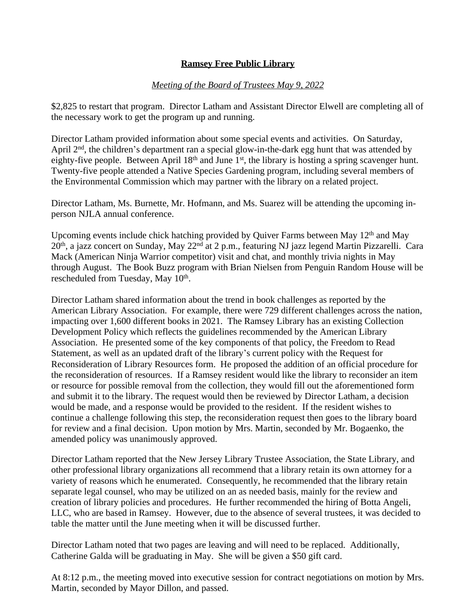# *Meeting of the Board of Trustees May 9, 2022*

\$2,825 to restart that program. Director Latham and Assistant Director Elwell are completing all of the necessary work to get the program up and running.

Director Latham provided information about some special events and activities. On Saturday, April 2<sup>nd</sup>, the children's department ran a special glow-in-the-dark egg hunt that was attended by eighty-five people. Between April 18<sup>th</sup> and June 1<sup>st</sup>, the library is hosting a spring scavenger hunt. Twenty-five people attended a Native Species Gardening program, including several members of the Environmental Commission which may partner with the library on a related project.

Director Latham, Ms. Burnette, Mr. Hofmann, and Ms. Suarez will be attending the upcoming inperson NJLA annual conference.

Upcoming events include chick hatching provided by Quiver Farms between May 12<sup>th</sup> and May 20<sup>th</sup>, a jazz concert on Sunday, May 22<sup>nd</sup> at 2 p.m., featuring NJ jazz legend Martin Pizzarelli. Cara Mack (American Ninja Warrior competitor) visit and chat, and monthly trivia nights in May through August. The Book Buzz program with Brian Nielsen from Penguin Random House will be rescheduled from Tuesday, May 10<sup>th</sup>.

Director Latham shared information about the trend in book challenges as reported by the American Library Association. For example, there were 729 different challenges across the nation, impacting over 1,600 different books in 2021. The Ramsey Library has an existing Collection Development Policy which reflects the guidelines recommended by the American Library Association. He presented some of the key components of that policy, the Freedom to Read Statement, as well as an updated draft of the library's current policy with the Request for Reconsideration of Library Resources form. He proposed the addition of an official procedure for the reconsideration of resources. If a Ramsey resident would like the library to reconsider an item or resource for possible removal from the collection, they would fill out the aforementioned form and submit it to the library. The request would then be reviewed by Director Latham, a decision would be made, and a response would be provided to the resident. If the resident wishes to continue a challenge following this step, the reconsideration request then goes to the library board for review and a final decision. Upon motion by Mrs. Martin, seconded by Mr. Bogaenko, the amended policy was unanimously approved.

Director Latham reported that the New Jersey Library Trustee Association, the State Library, and other professional library organizations all recommend that a library retain its own attorney for a variety of reasons which he enumerated. Consequently, he recommended that the library retain separate legal counsel, who may be utilized on an as needed basis, mainly for the review and creation of library policies and procedures. He further recommended the hiring of Botta Angeli, LLC, who are based in Ramsey. However, due to the absence of several trustees, it was decided to table the matter until the June meeting when it will be discussed further.

Director Latham noted that two pages are leaving and will need to be replaced. Additionally, Catherine Galda will be graduating in May. She will be given a \$50 gift card.

At 8:12 p.m., the meeting moved into executive session for contract negotiations on motion by Mrs. Martin, seconded by Mayor Dillon, and passed.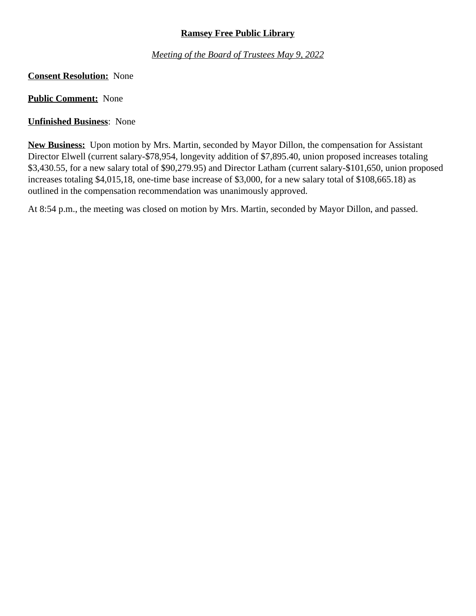*Meeting of the Board of Trustees May 9, 2022*

# **Consent Resolution:** None

**Public Comment:** None

# **Unfinished Business**: None

**New Business:** Upon motion by Mrs. Martin, seconded by Mayor Dillon, the compensation for Assistant Director Elwell (current salary-\$78,954, longevity addition of \$7,895.40, union proposed increases totaling \$3,430.55, for a new salary total of \$90,279.95) and Director Latham (current salary-\$101,650, union proposed increases totaling \$4,015,18, one-time base increase of \$3,000, for a new salary total of \$108,665.18) as outlined in the compensation recommendation was unanimously approved.

At 8:54 p.m., the meeting was closed on motion by Mrs. Martin, seconded by Mayor Dillon, and passed.